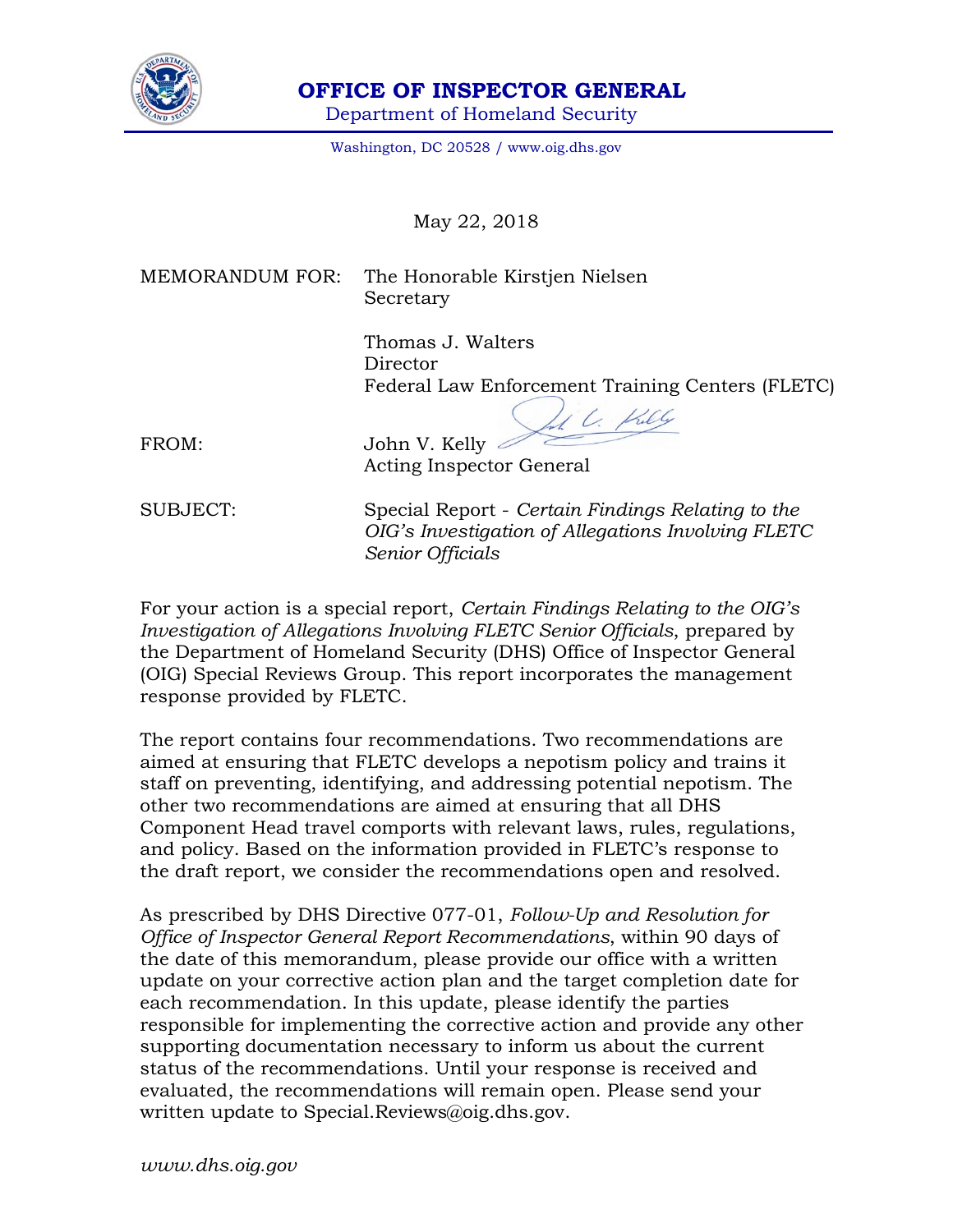

 **OFFICE OF INSPECTOR GENERAL** 

Department of Homeland Security

Washington, DC 20528 / www.oig.dhs.gov

May 22, 2018

MEMORANDUM FOR: The Honorable Kirstjen Nielsen Secretary

> Thomas J. Walters **Director** Federal Law Enforcement Training Centers (FLETC)

 $\frac{1}{2}$ Killy

FROM: John V. Kelly Acting Inspector General

SUBJECT: Special Report - *Certain Findings Relating to the OIG's Investigation of Allegations Involving FLETC Senior Officials* 

For your action is a special report, *Certain Findings Relating to the OIG's Investigation of Allegations Involving FLETC Senior Officials*, prepared by the Department of Homeland Security (DHS) Office of Inspector General (OIG) Special Reviews Group. This report incorporates the management response provided by FLETC.

The report contains four recommendations. Two recommendations are aimed at ensuring that FLETC develops a nepotism policy and trains it staff on preventing, identifying, and addressing potential nepotism. The other two recommendations are aimed at ensuring that all DHS Component Head travel comports with relevant laws, rules, regulations, and policy. Based on the information provided in FLETC's response to the draft report, we consider the recommendations open and resolved.

As prescribed by DHS Directive 077-01, *Follow-Up and Resolution for Office of Inspector General Report Recommendations*, within 90 days of the date of this memorandum, please provide our office with a written update on your corrective action plan and the target completion date for each recommendation. In this update, please identify the parties responsible for implementing the corrective action and provide any other supporting documentation necessary to inform us about the current status of the recommendations. Until your response is received and evaluated, the recommendations will remain open. Please send your written update to Special.Reviews@oig.dhs.gov.

*www.dhs.oig.gov*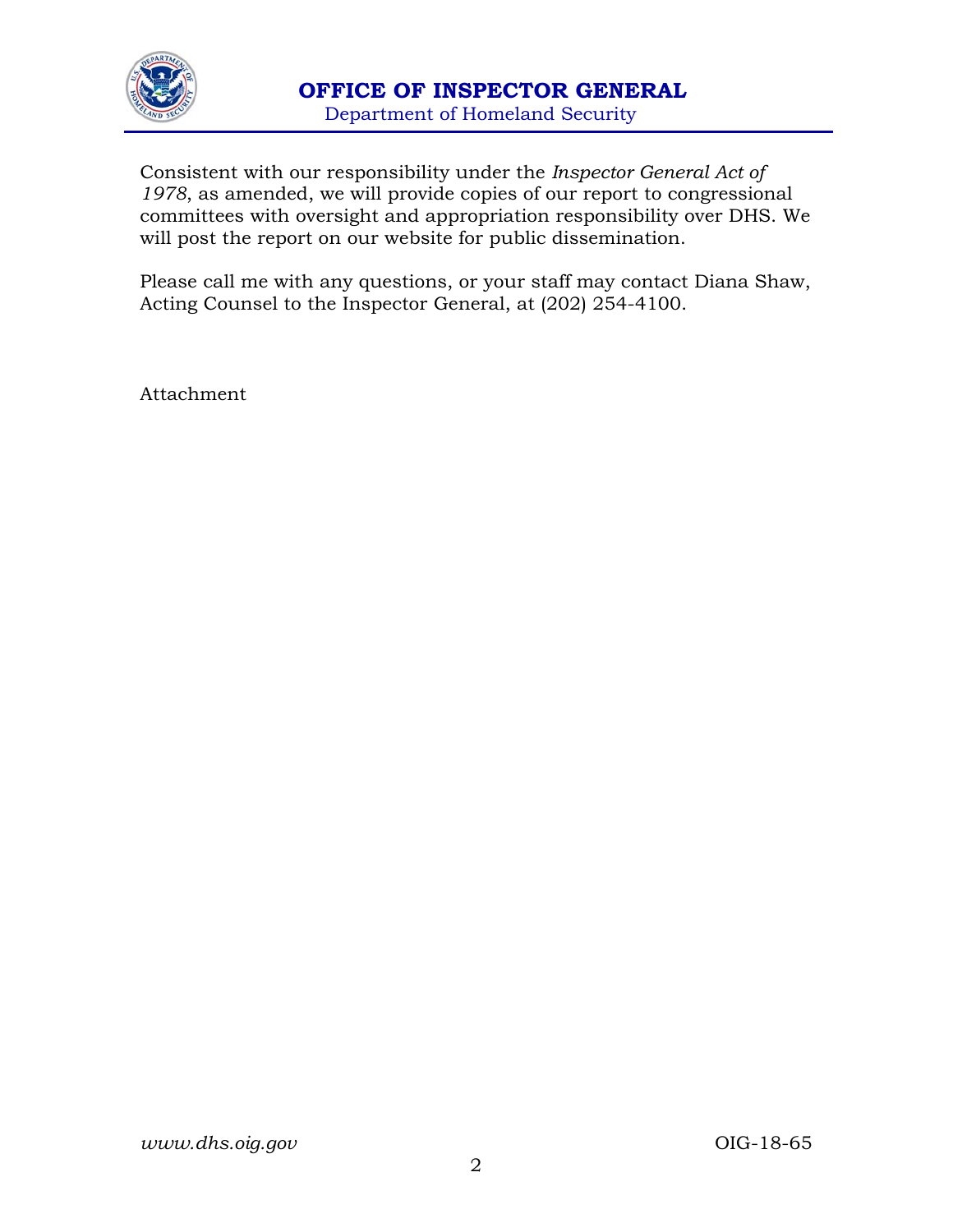

Consistent with our responsibility under the *Inspector General Act of 1978*, as amended, we will provide copies of our report to congressional committees with oversight and appropriation responsibility over DHS. We will post the report on our website for public dissemination.

Please call me with any questions, or your staff may contact Diana Shaw, Acting Counsel to the Inspector General, at (202) 254-4100.

Attachment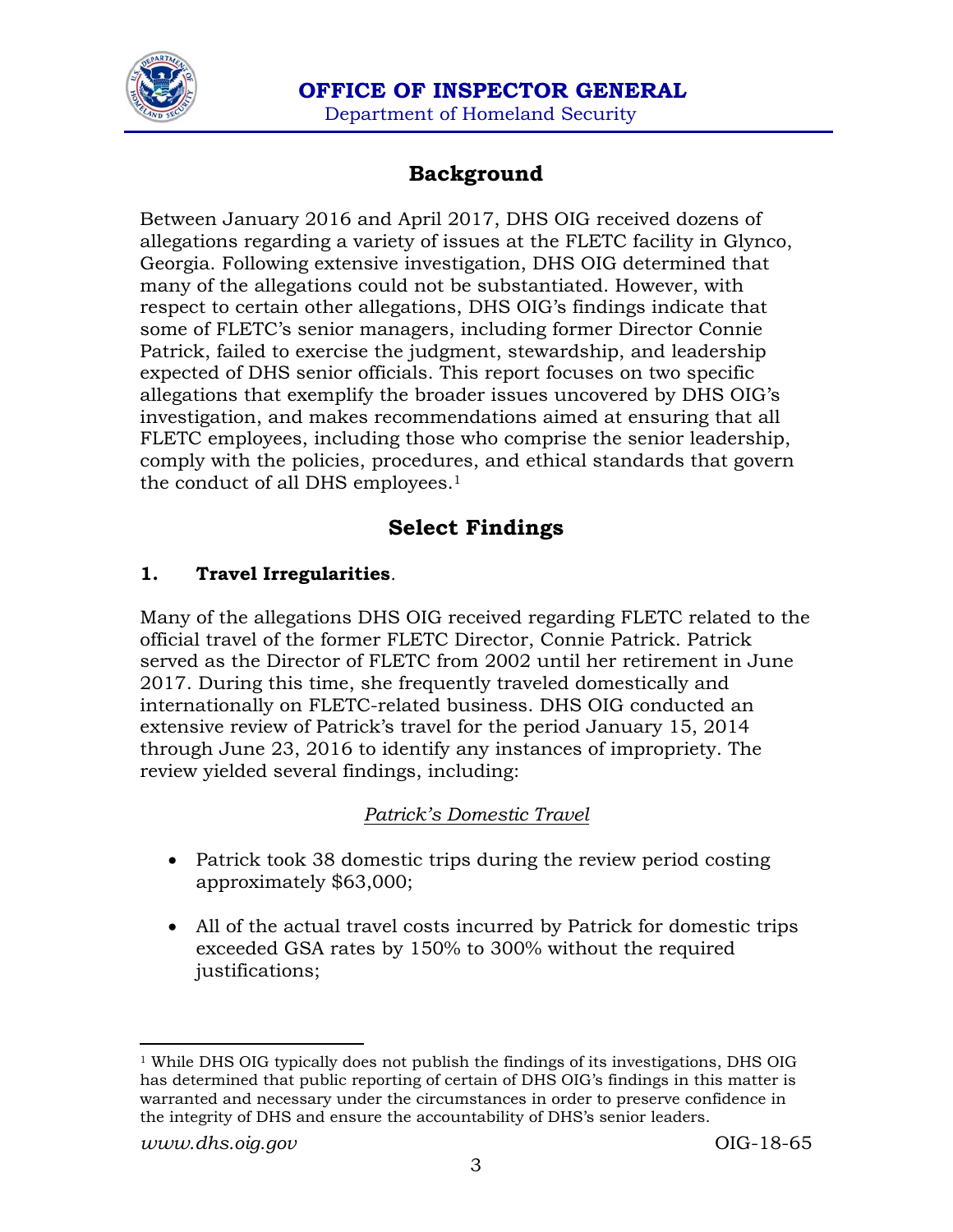

# **Background**

Between January 2016 and April 2017, DHS OIG received dozens of allegations regarding a variety of issues at the FLETC facility in Glynco, Georgia. Following extensive investigation, DHS OIG determined that many of the allegations could not be substantiated. However, with respect to certain other allegations, DHS OIG's findings indicate that some of FLETC's senior managers, including former Director Connie Patrick, failed to exercise the judgment, stewardship, and leadership expected of DHS senior officials. This report focuses on two specific allegations that exemplify the broader issues uncovered by DHS OIG's investigation, and makes recommendations aimed at ensuring that all FLETC employees, including those who comprise the senior leadership, comply with the policies, procedures, and ethical standards that govern the conduct of all DHS employees.<sup>1</sup>

# **Select Findings**

### **1. Travel Irregularities***.*

Many of the allegations DHS OIG received regarding FLETC related to the official travel of the former FLETC Director, Connie Patrick. Patrick served as the Director of FLETC from 2002 until her retirement in June 2017. During this time, she frequently traveled domestically and internationally on FLETC-related business. DHS OIG conducted an extensive review of Patrick's travel for the period January 15, 2014 through June 23, 2016 to identify any instances of impropriety. The review yielded several findings, including:

#### *Patrick's Domestic Travel*

- Patrick took 38 domestic trips during the review period costing approximately \$63,000;
- All of the actual travel costs incurred by Patrick for domestic trips exceeded GSA rates by 150% to 300% without the required justifications;

 $1$ <sup> While</sup> DHS OIG typically does not publish the findings of its investigations, DHS OIG has determined that public reporting of certain of DHS OIG's findings in this matter is warranted and necessary under the circumstances in order to preserve confidence in the integrity of DHS and ensure the accountability of DHS's senior leaders.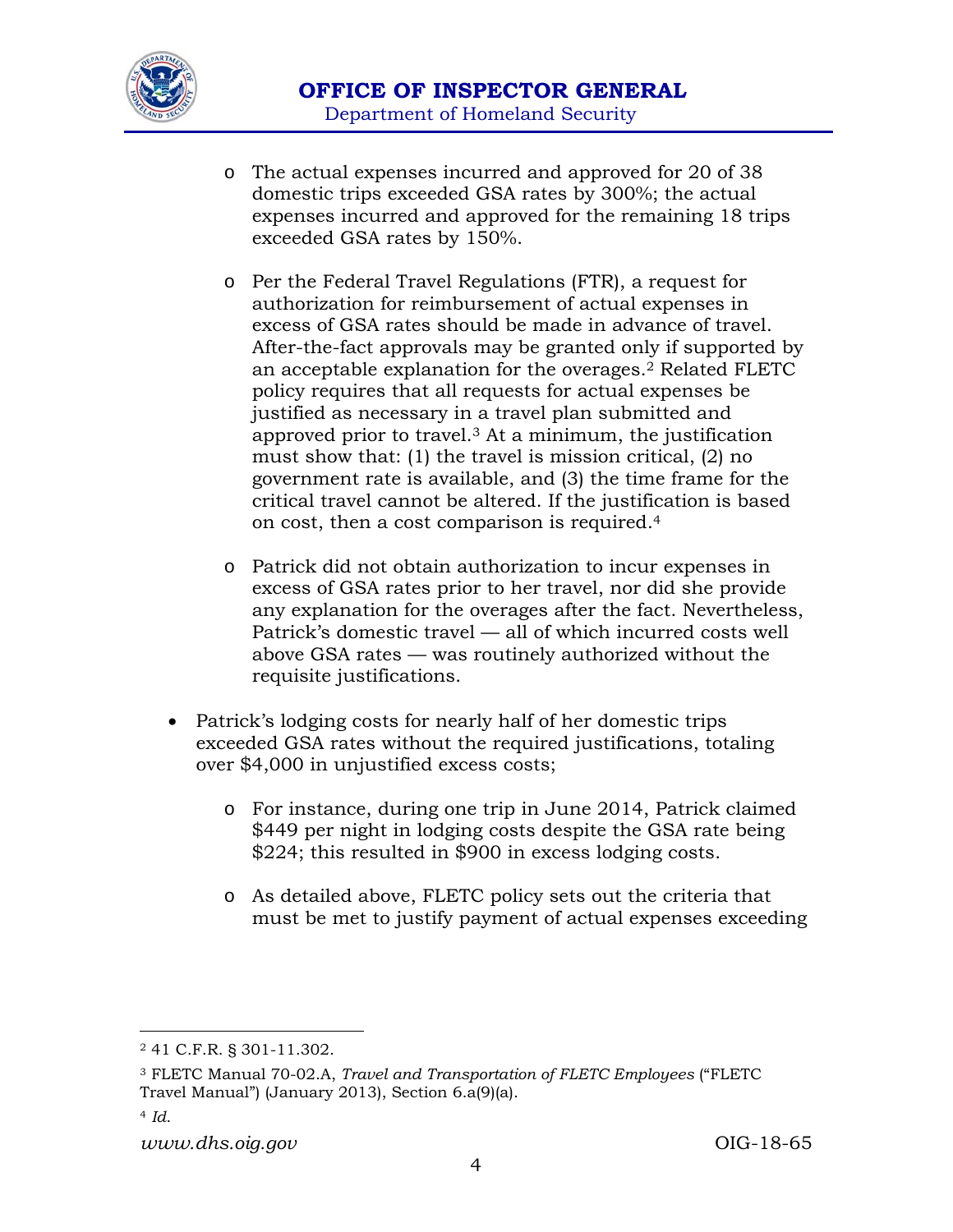

- o The actual expenses incurred and approved for 20 of 38 domestic trips exceeded GSA rates by 300%; the actual expenses incurred and approved for the remaining 18 trips exceeded GSA rates by 150%.
- o Per the Federal Travel Regulations (FTR), a request for authorization for reimbursement of actual expenses in excess of GSA rates should be made in advance of travel. After-the-fact approvals may be granted only if supported by an acceptable explanation for the overages.2 Related FLETC policy requires that all requests for actual expenses be justified as necessary in a travel plan submitted and approved prior to travel.3 At a minimum, the justification must show that: (1) the travel is mission critical, (2) no government rate is available, and (3) the time frame for the critical travel cannot be altered. If the justification is based on cost, then a cost comparison is required.4
- o Patrick did not obtain authorization to incur expenses in excess of GSA rates prior to her travel, nor did she provide any explanation for the overages after the fact. Nevertheless, Patrick's domestic travel — all of which incurred costs well above GSA rates — was routinely authorized without the requisite justifications.
- Patrick's lodging costs for nearly half of her domestic trips exceeded GSA rates without the required justifications, totaling over \$4,000 in unjustified excess costs;
	- o For instance, during one trip in June 2014, Patrick claimed \$449 per night in lodging costs despite the GSA rate being \$224; this resulted in \$900 in excess lodging costs.
	- o As detailed above, FLETC policy sets out the criteria that must be met to justify payment of actual expenses exceeding

3 FLETC Manual 70-02.A, *Travel and Transportation of FLETC Employees* ("FLETC Travel Manual") (January 2013), Section 6.a(9)(a).

<sup>2 41</sup> C.F.R. § 301-11.302.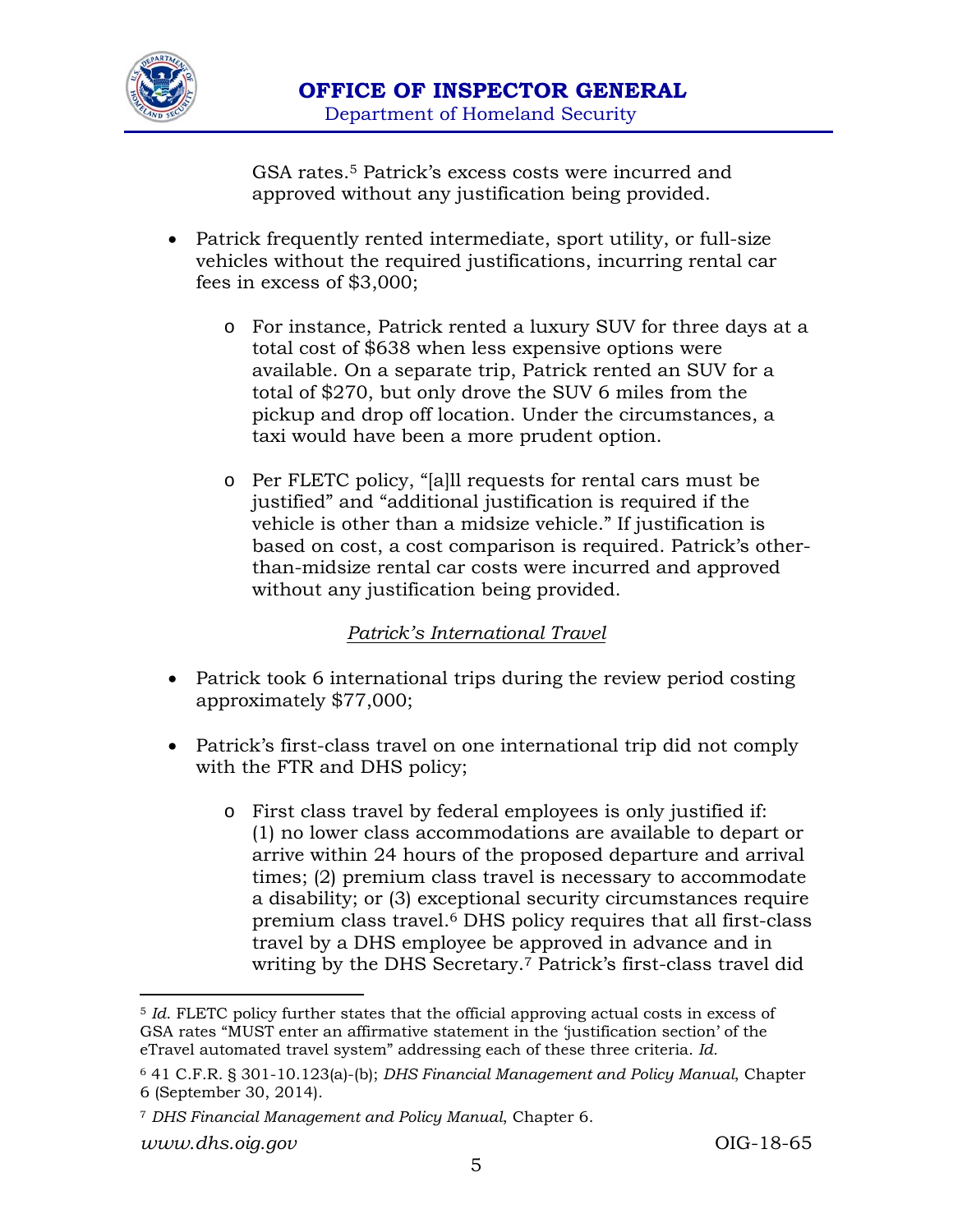

GSA rates.5 Patrick's excess costs were incurred and approved without any justification being provided.

- Patrick frequently rented intermediate, sport utility, or full-size vehicles without the required justifications, incurring rental car fees in excess of \$3,000;
	- o For instance, Patrick rented a luxury SUV for three days at a total cost of \$638 when less expensive options were available. On a separate trip, Patrick rented an SUV for a total of \$270, but only drove the SUV 6 miles from the pickup and drop off location. Under the circumstances, a taxi would have been a more prudent option.
	- o Per FLETC policy, "[a]ll requests for rental cars must be justified" and "additional justification is required if the vehicle is other than a midsize vehicle." If justification is based on cost, a cost comparison is required. Patrick's otherthan-midsize rental car costs were incurred and approved without any justification being provided.

#### *Patrick's International Travel*

- Patrick took 6 international trips during the review period costing approximately \$77,000;
- Patrick's first-class travel on one international trip did not comply with the FTR and DHS policy;
	- o First class travel by federal employees is only justified if: (1) no lower class accommodations are available to depart or arrive within 24 hours of the proposed departure and arrival times; (2) premium class travel is necessary to accommodate a disability; or (3) exceptional security circumstances require premium class travel.6 DHS policy requires that all first-class travel by a DHS employee be approved in advance and in writing by the DHS Secretary.7 Patrick's first-class travel did

 <sup>5</sup> *Id*. FLETC policy further states that the official approving actual costs in excess of GSA rates "MUST enter an affirmative statement in the 'justification section' of the eTravel automated travel system" addressing each of these three criteria. *Id.*

<sup>6 41</sup> C.F.R. § 301-10.123(a)-(b); *DHS Financial Management and Policy Manual*, Chapter 6 (September 30, 2014).

<sup>7</sup> *DHS Financial Management and Policy Manual*, Chapter 6.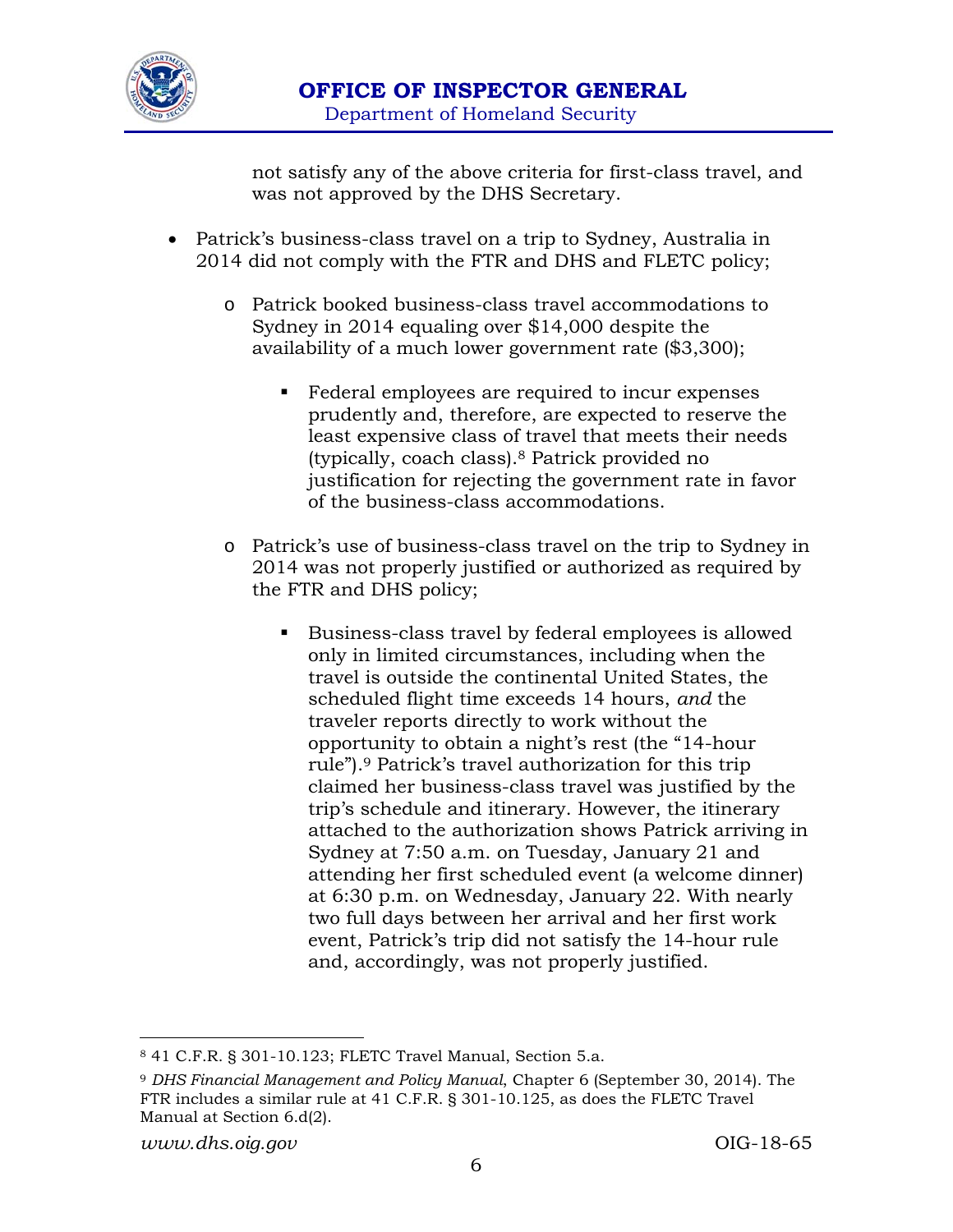

not satisfy any of the above criteria for first-class travel, and was not approved by the DHS Secretary.

- Patrick's business-class travel on a trip to Sydney, Australia in 2014 did not comply with the FTR and DHS and FLETC policy;
	- o Patrick booked business-class travel accommodations to Sydney in 2014 equaling over \$14,000 despite the availability of a much lower government rate (\$3,300);
		- Federal employees are required to incur expenses prudently and, therefore, are expected to reserve the least expensive class of travel that meets their needs (typically, coach class).8 Patrick provided no justification for rejecting the government rate in favor of the business-class accommodations.
	- o Patrick's use of business-class travel on the trip to Sydney in 2014 was not properly justified or authorized as required by the FTR and DHS policy;
		- Business-class travel by federal employees is allowed only in limited circumstances, including when the travel is outside the continental United States, the scheduled flight time exceeds 14 hours, *and* the traveler reports directly to work without the opportunity to obtain a night's rest (the "14-hour rule").9 Patrick's travel authorization for this trip claimed her business-class travel was justified by the trip's schedule and itinerary. However, the itinerary attached to the authorization shows Patrick arriving in Sydney at 7:50 a.m. on Tuesday, January 21 and attending her first scheduled event (a welcome dinner) at 6:30 p.m. on Wednesday, January 22. With nearly two full days between her arrival and her first work event, Patrick's trip did not satisfy the 14-hour rule and, accordingly, was not properly justified.

<sup>8 41</sup> C.F.R. § 301-10.123; FLETC Travel Manual, Section 5.a.

<sup>9</sup> *DHS Financial Management and Policy Manual*, Chapter 6 (September 30, 2014). The FTR includes a similar rule at 41 C.F.R. § 301-10.125, as does the FLETC Travel Manual at Section 6.d(2).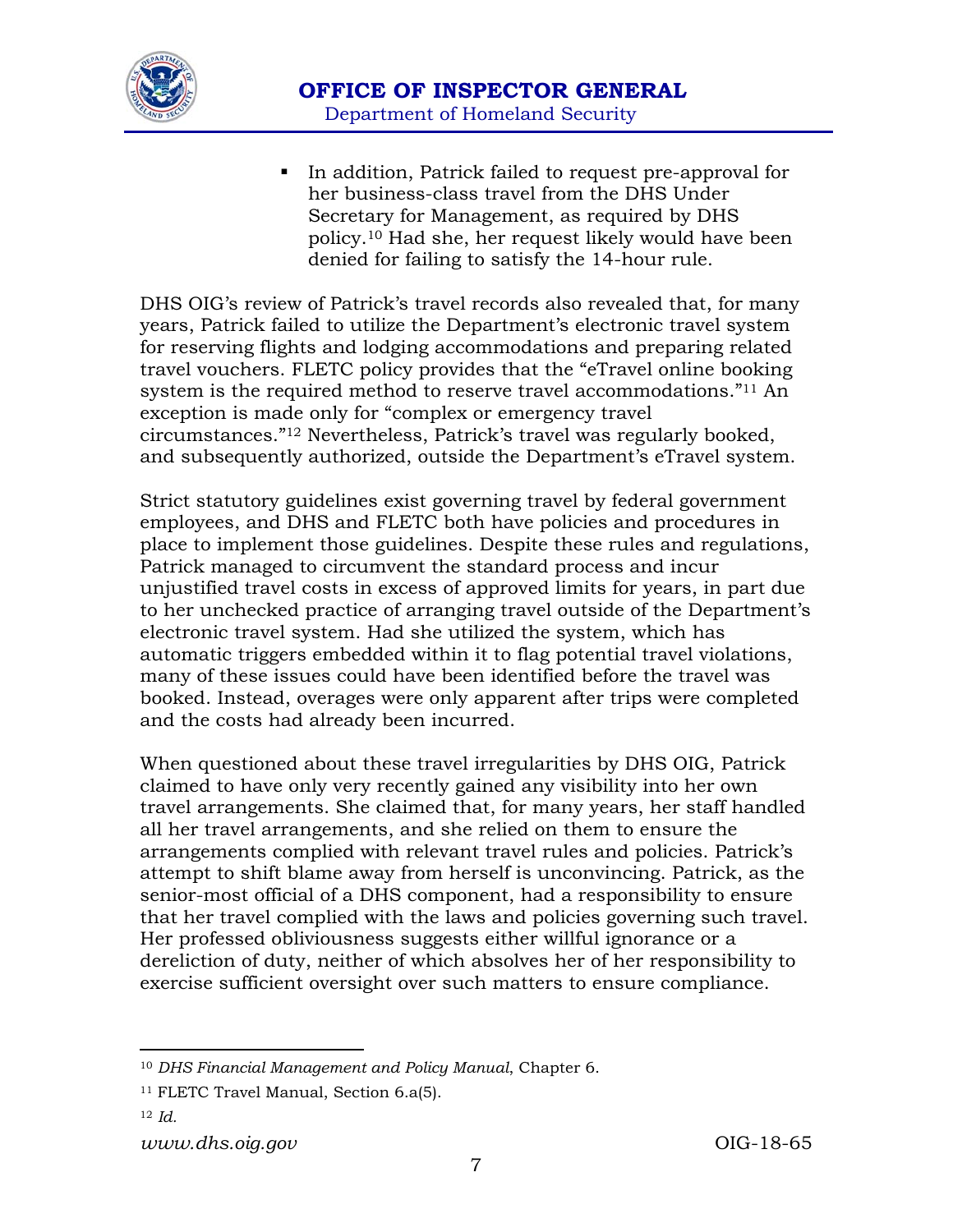

In addition, Patrick failed to request pre-approval for her business-class travel from the DHS Under Secretary for Management, as required by DHS policy.10 Had she, her request likely would have been denied for failing to satisfy the 14-hour rule.

DHS OIG's review of Patrick's travel records also revealed that, for many years, Patrick failed to utilize the Department's electronic travel system for reserving flights and lodging accommodations and preparing related travel vouchers. FLETC policy provides that the "eTravel online booking system is the required method to reserve travel accommodations."11 An exception is made only for "complex or emergency travel circumstances."12 Nevertheless, Patrick's travel was regularly booked, and subsequently authorized, outside the Department's eTravel system.

Strict statutory guidelines exist governing travel by federal government employees, and DHS and FLETC both have policies and procedures in place to implement those guidelines. Despite these rules and regulations, Patrick managed to circumvent the standard process and incur unjustified travel costs in excess of approved limits for years, in part due to her unchecked practice of arranging travel outside of the Department's electronic travel system. Had she utilized the system, which has automatic triggers embedded within it to flag potential travel violations, many of these issues could have been identified before the travel was booked. Instead, overages were only apparent after trips were completed and the costs had already been incurred.

When questioned about these travel irregularities by DHS OIG, Patrick claimed to have only very recently gained any visibility into her own travel arrangements. She claimed that, for many years, her staff handled all her travel arrangements, and she relied on them to ensure the arrangements complied with relevant travel rules and policies. Patrick's attempt to shift blame away from herself is unconvincing. Patrick, as the senior-most official of a DHS component, had a responsibility to ensure that her travel complied with the laws and policies governing such travel. Her professed obliviousness suggests either willful ignorance or a dereliction of duty, neither of which absolves her of her responsibility to exercise sufficient oversight over such matters to ensure compliance.

<sup>12</sup> *Id.*

<sup>10</sup> *DHS Financial Management and Policy Manual*, Chapter 6.

<sup>11</sup> FLETC Travel Manual, Section 6.a(5).

*www.dhs.oig.gov* OIG-18-65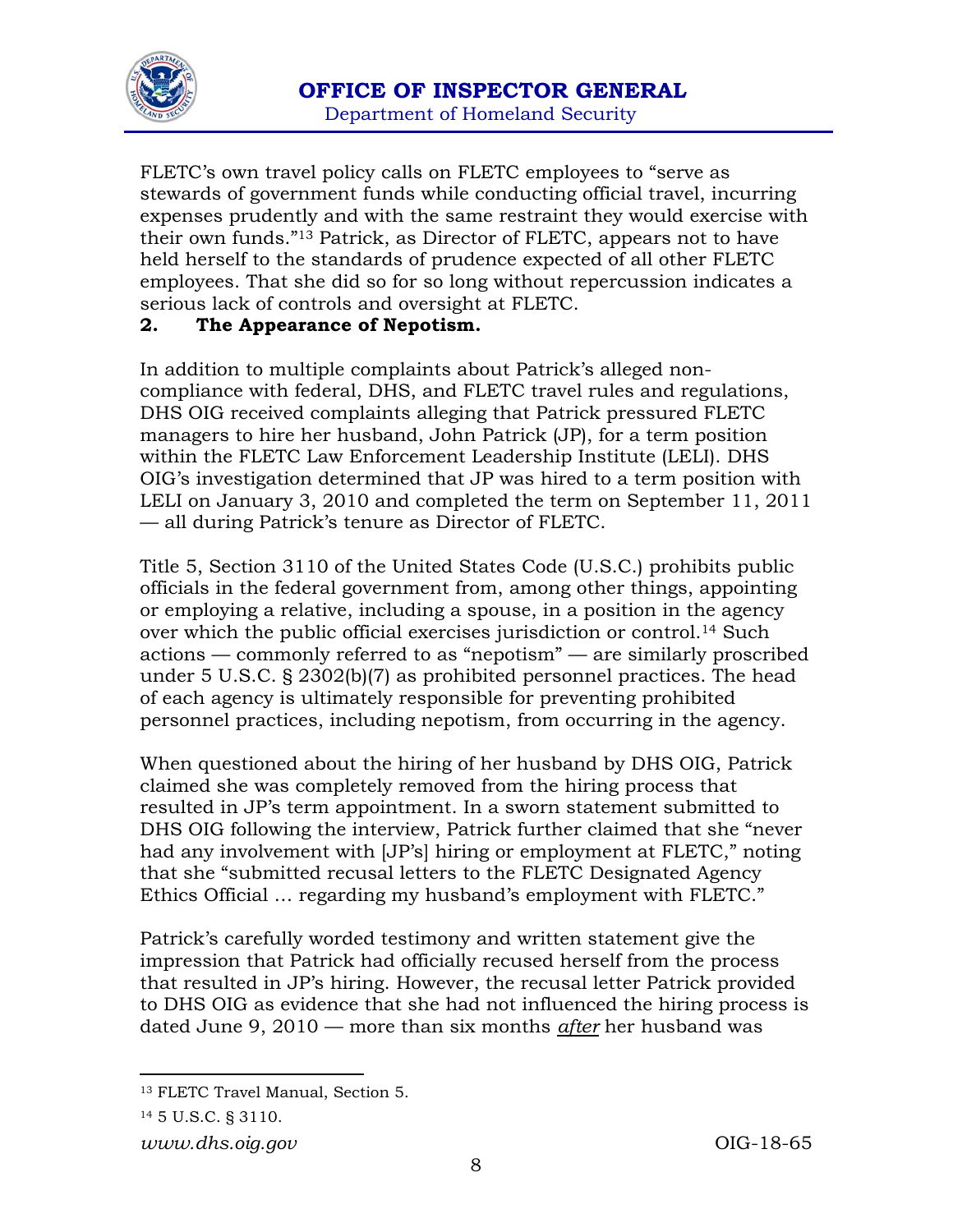

FLETC's own travel policy calls on FLETC employees to "serve as stewards of government funds while conducting official travel, incurring expenses prudently and with the same restraint they would exercise with their own funds."13 Patrick, as Director of FLETC, appears not to have held herself to the standards of prudence expected of all other FLETC employees. That she did so for so long without repercussion indicates a serious lack of controls and oversight at FLETC.

#### **2. The Appearance of Nepotism.**

In addition to multiple complaints about Patrick's alleged noncompliance with federal, DHS, and FLETC travel rules and regulations, DHS OIG received complaints alleging that Patrick pressured FLETC managers to hire her husband, John Patrick (JP), for a term position within the FLETC Law Enforcement Leadership Institute (LELI). DHS OIG's investigation determined that JP was hired to a term position with LELI on January 3, 2010 and completed the term on September 11, 2011 — all during Patrick's tenure as Director of FLETC.

Title 5, Section 3110 of the United States Code (U.S.C.) prohibits public officials in the federal government from, among other things, appointing or employing a relative, including a spouse, in a position in the agency over which the public official exercises jurisdiction or control.14 Such actions — commonly referred to as "nepotism" — are similarly proscribed under 5 U.S.C. § 2302(b)(7) as prohibited personnel practices. The head of each agency is ultimately responsible for preventing prohibited personnel practices, including nepotism, from occurring in the agency.

When questioned about the hiring of her husband by DHS OIG, Patrick claimed she was completely removed from the hiring process that resulted in JP's term appointment. In a sworn statement submitted to DHS OIG following the interview, Patrick further claimed that she "never had any involvement with [JP's] hiring or employment at FLETC," noting that she "submitted recusal letters to the FLETC Designated Agency Ethics Official … regarding my husband's employment with FLETC."

Patrick's carefully worded testimony and written statement give the impression that Patrick had officially recused herself from the process that resulted in JP's hiring. However, the recusal letter Patrick provided to DHS OIG as evidence that she had not influenced the hiring process is dated June 9, 2010 — more than six months *after* her husband was

 13 FLETC Travel Manual, Section 5.

<sup>14 5</sup> U.S.C. § 3110.

*www.dhs.oig.gov* OIG-18-65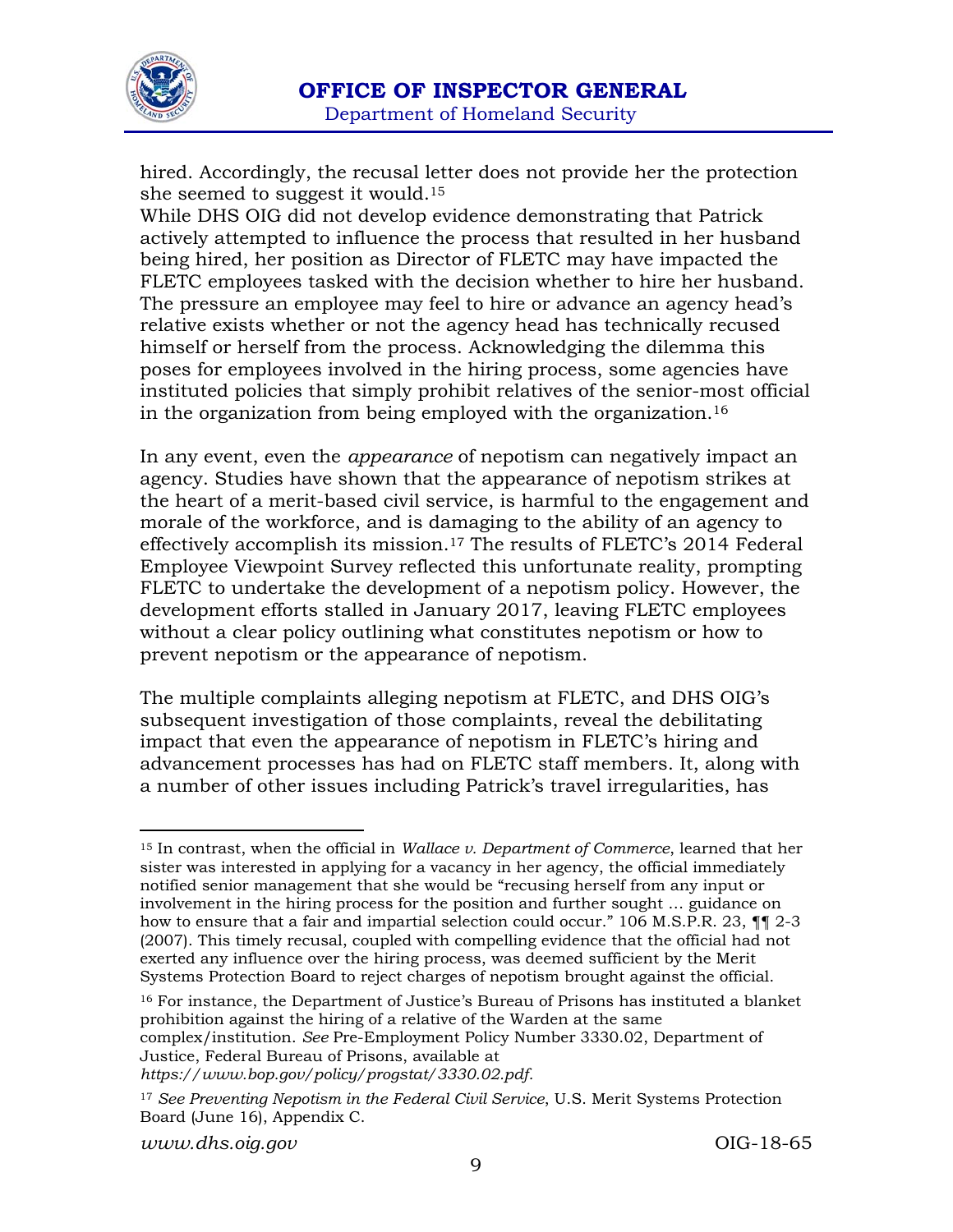

hired. Accordingly, the recusal letter does not provide her the protection she seemed to suggest it would.15

While DHS OIG did not develop evidence demonstrating that Patrick actively attempted to influence the process that resulted in her husband being hired, her position as Director of FLETC may have impacted the FLETC employees tasked with the decision whether to hire her husband. The pressure an employee may feel to hire or advance an agency head's relative exists whether or not the agency head has technically recused himself or herself from the process. Acknowledging the dilemma this poses for employees involved in the hiring process, some agencies have instituted policies that simply prohibit relatives of the senior-most official in the organization from being employed with the organization.16

In any event, even the *appearance* of nepotism can negatively impact an agency. Studies have shown that the appearance of nepotism strikes at the heart of a merit-based civil service, is harmful to the engagement and morale of the workforce, and is damaging to the ability of an agency to effectively accomplish its mission.17 The results of FLETC's 2014 Federal Employee Viewpoint Survey reflected this unfortunate reality, prompting FLETC to undertake the development of a nepotism policy. However, the development efforts stalled in January 2017, leaving FLETC employees without a clear policy outlining what constitutes nepotism or how to prevent nepotism or the appearance of nepotism.

The multiple complaints alleging nepotism at FLETC, and DHS OIG's subsequent investigation of those complaints, reveal the debilitating impact that even the appearance of nepotism in FLETC's hiring and advancement processes has had on FLETC staff members. It, along with a number of other issues including Patrick's travel irregularities, has

16 For instance, the Department of Justice's Bureau of Prisons has instituted a blanket prohibition against the hiring of a relative of the Warden at the same complex/institution. *See* Pre-Employment Policy Number 3330.02, Department of Justice, Federal Bureau of Prisons, available at

*https://www.bop.gov/policy/progstat/3330.02.pdf.*

<sup>15</sup> In contrast, when the official in *Wallace v. Department of Commerce*, learned that her sister was interested in applying for a vacancy in her agency, the official immediately notified senior management that she would be "recusing herself from any input or involvement in the hiring process for the position and further sought … guidance on how to ensure that a fair and impartial selection could occur." 106 M.S.P.R. 23,  $\P$  | 2-3 (2007). This timely recusal, coupled with compelling evidence that the official had not exerted any influence over the hiring process, was deemed sufficient by the Merit Systems Protection Board to reject charges of nepotism brought against the official.

<sup>17</sup> *See Preventing Nepotism in the Federal Civil Service*, U.S. Merit Systems Protection Board (June 16), Appendix C.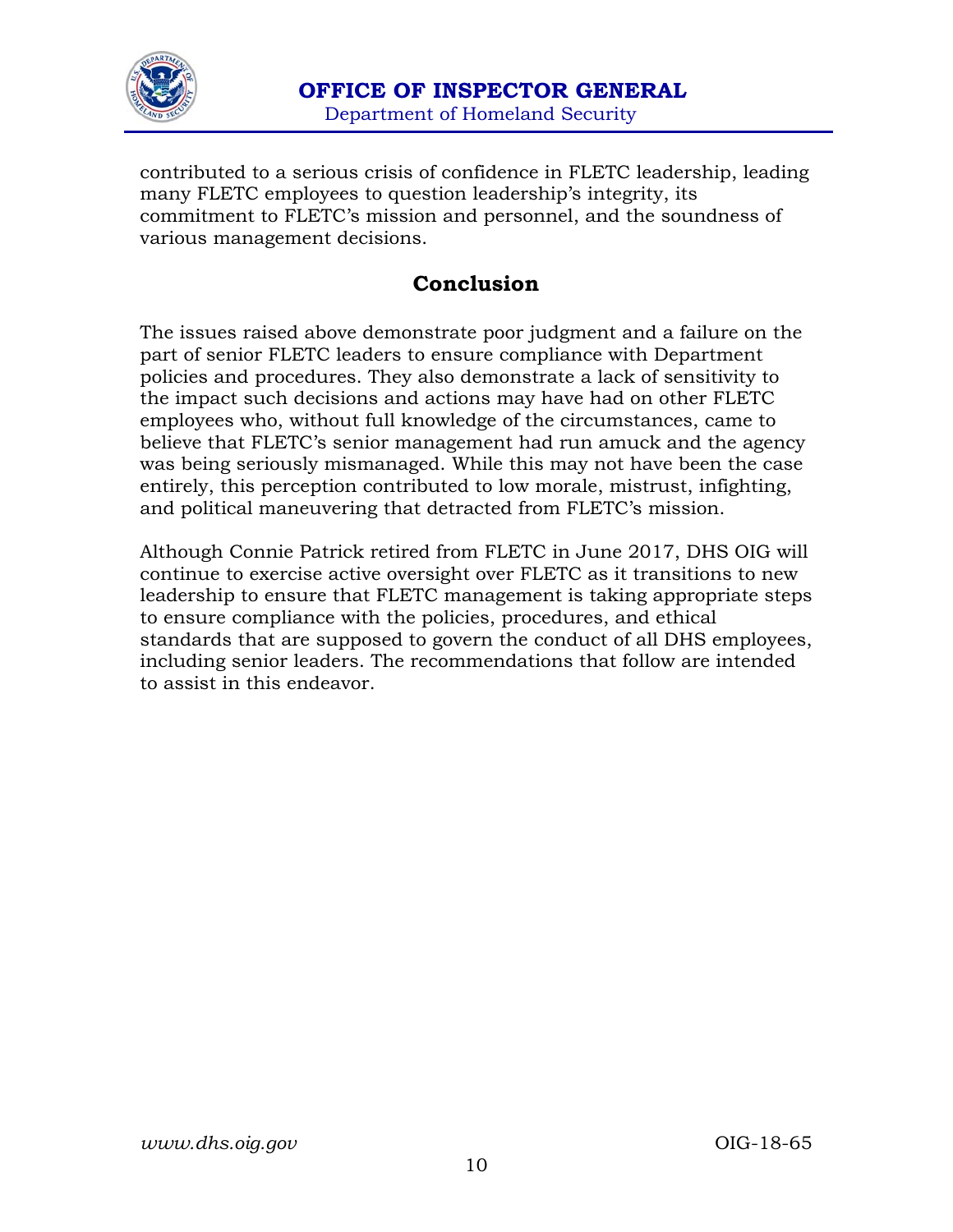

contributed to a serious crisis of confidence in FLETC leadership, leading many FLETC employees to question leadership's integrity, its commitment to FLETC's mission and personnel, and the soundness of various management decisions.

### **Conclusion**

The issues raised above demonstrate poor judgment and a failure on the part of senior FLETC leaders to ensure compliance with Department policies and procedures. They also demonstrate a lack of sensitivity to the impact such decisions and actions may have had on other FLETC employees who, without full knowledge of the circumstances, came to believe that FLETC's senior management had run amuck and the agency was being seriously mismanaged. While this may not have been the case entirely, this perception contributed to low morale, mistrust, infighting, and political maneuvering that detracted from FLETC's mission.

Although Connie Patrick retired from FLETC in June 2017, DHS OIG will continue to exercise active oversight over FLETC as it transitions to new leadership to ensure that FLETC management is taking appropriate steps to ensure compliance with the policies, procedures, and ethical standards that are supposed to govern the conduct of all DHS employees, including senior leaders. The recommendations that follow are intended to assist in this endeavor.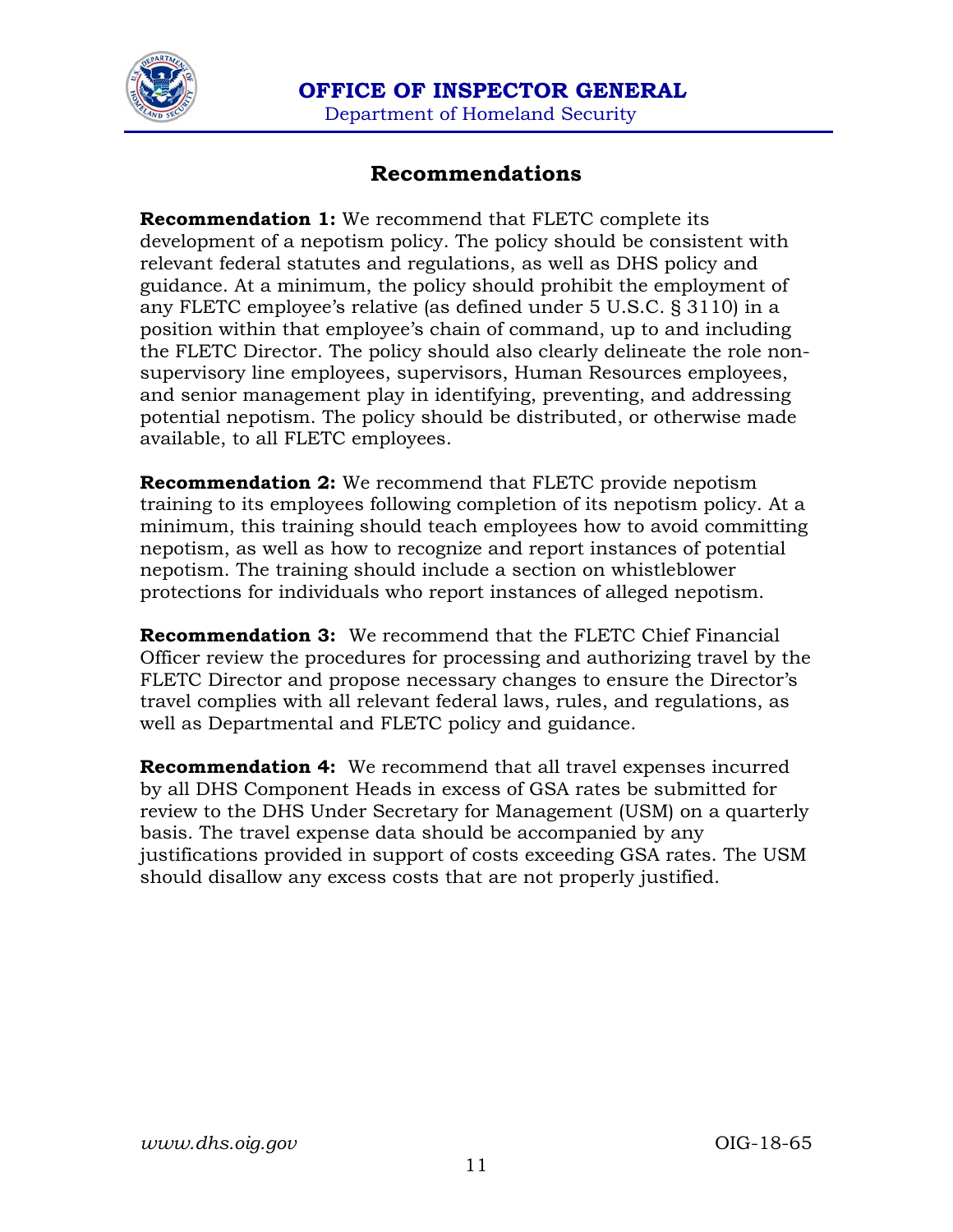

 **OFFICE OF INSPECTOR GENERAL**  Department of Homeland Security

### **Recommendations**

**Recommendation 1:** We recommend that FLETC complete its development of a nepotism policy. The policy should be consistent with relevant federal statutes and regulations, as well as DHS policy and guidance. At a minimum, the policy should prohibit the employment of any FLETC employee's relative (as defined under 5 U.S.C. § 3110) in a position within that employee's chain of command, up to and including the FLETC Director. The policy should also clearly delineate the role nonsupervisory line employees, supervisors, Human Resources employees, and senior management play in identifying, preventing, and addressing potential nepotism. The policy should be distributed, or otherwise made available, to all FLETC employees.

**Recommendation 2:** We recommend that FLETC provide nepotism training to its employees following completion of its nepotism policy. At a minimum, this training should teach employees how to avoid committing nepotism, as well as how to recognize and report instances of potential nepotism. The training should include a section on whistleblower protections for individuals who report instances of alleged nepotism.

**Recommendation 3:** We recommend that the FLETC Chief Financial Officer review the procedures for processing and authorizing travel by the FLETC Director and propose necessary changes to ensure the Director's travel complies with all relevant federal laws, rules, and regulations, as well as Departmental and FLETC policy and guidance.

**Recommendation 4:** We recommend that all travel expenses incurred by all DHS Component Heads in excess of GSA rates be submitted for review to the DHS Under Secretary for Management (USM) on a quarterly basis. The travel expense data should be accompanied by any justifications provided in support of costs exceeding GSA rates. The USM should disallow any excess costs that are not properly justified.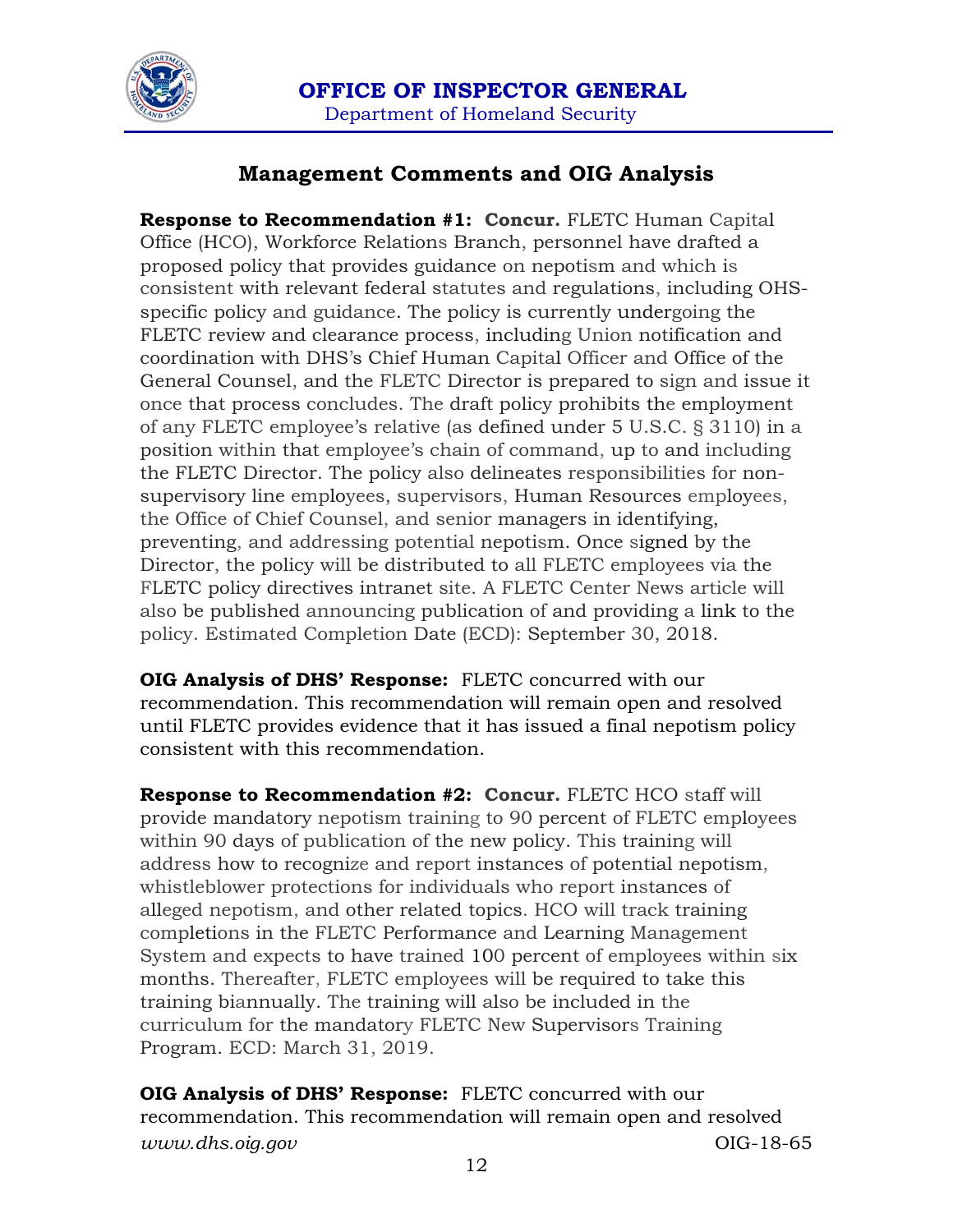

 **OFFICE OF INSPECTOR GENERAL**  Department of Homeland Security

### **Management Comments and OIG Analysis**

**Response to Recommendation #1: Concur.** FLETC Human Capital Office (HCO), Workforce Relations Branch, personnel have drafted a proposed policy that provides guidance on nepotism and which is consistent with relevant federal statutes and regulations, including OHSspecific policy and guidance. The policy is currently undergoing the FLETC review and clearance process, including Union notification and coordination with DHS's Chief Human Capital Officer and Office of the General Counsel, and the FLETC Director is prepared to sign and issue it once that process concludes. The draft policy prohibits the employment of any FLETC employee's relative (as defined under 5 U.S.C. § 3110) in a position within that employee's chain of command, up to and including the FLETC Director. The policy also delineates responsibilities for nonsupervisory line employees, supervisors, Human Resources employees, the Office of Chief Counsel, and senior managers in identifying, preventing, and addressing potential nepotism. Once signed by the Director, the policy will be distributed to all FLETC employees via the FLETC policy directives intranet site. A FLETC Center News article will also be published announcing publication of and providing a link to the policy. Estimated Completion Date (ECD): September 30, 2018.

**OIG Analysis of DHS' Response:** FLETC concurred with our recommendation. This recommendation will remain open and resolved until FLETC provides evidence that it has issued a final nepotism policy consistent with this recommendation.

**Response to Recommendation #2: Concur.** FLETC HCO staff will provide mandatory nepotism training to 90 percent of FLETC employees within 90 days of publication of the new policy. This training will address how to recognize and report instances of potential nepotism, whistleblower protections for individuals who report instances of alleged nepotism, and other related topics. HCO will track training completions in the FLETC Performance and Learning Management System and expects to have trained 100 percent of employees within six months. Thereafter, FLETC employees will be required to take this training biannually. The training will also be included in the curriculum for the mandatory FLETC New Supervisors Training Program. ECD: March 31, 2019.

*www.dhs.oig.gov* OIG-18-65 **OIG Analysis of DHS' Response:** FLETC concurred with our recommendation. This recommendation will remain open and resolved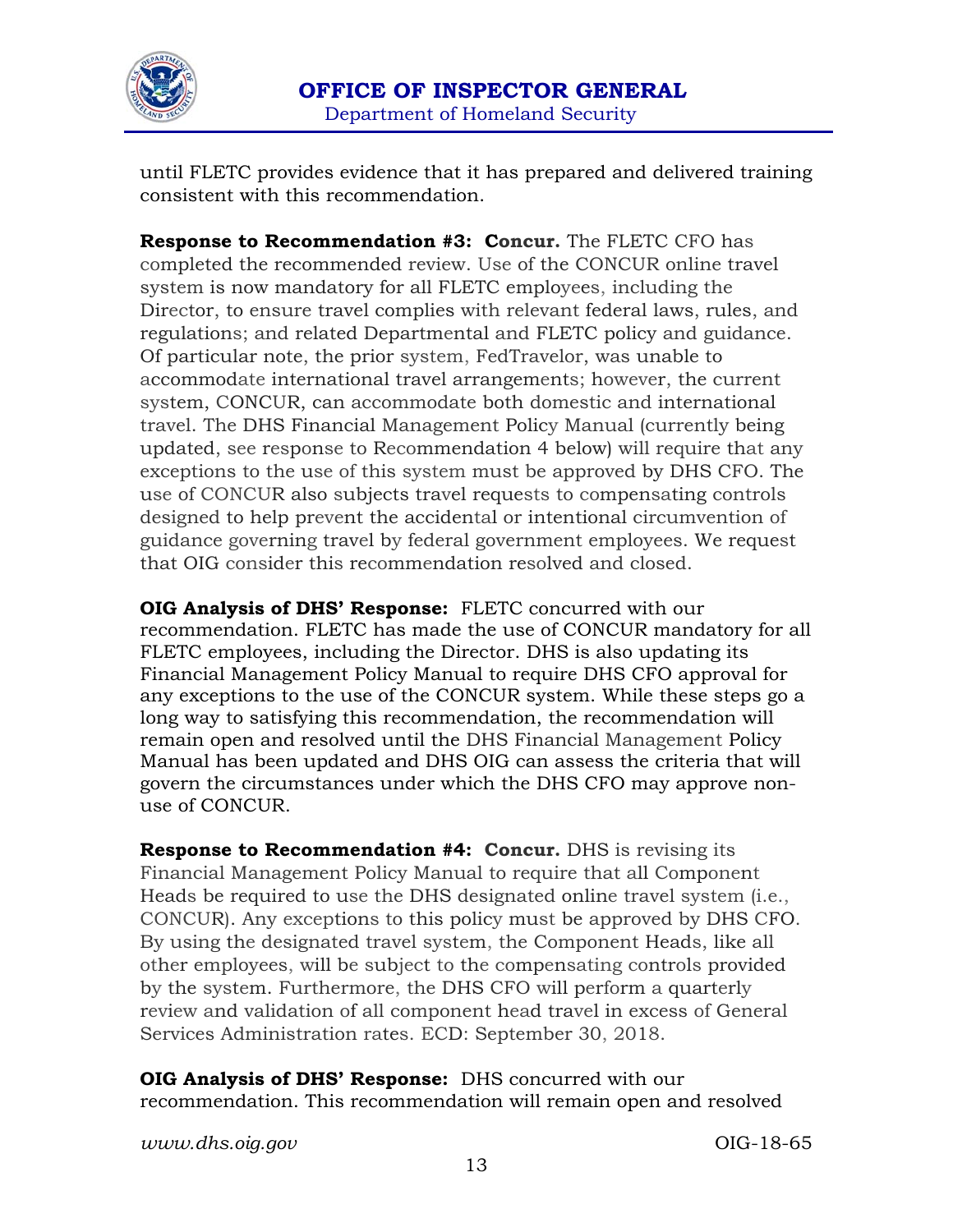

until FLETC provides evidence that it has prepared and delivered training consistent with this recommendation.

**Response to Recommendation #3: Concur.** The FLETC CFO has completed the recommended review. Use of the CONCUR online travel system is now mandatory for all FLETC employees, including the Director, to ensure travel complies with relevant federal laws, rules, and regulations; and related Departmental and FLETC policy and guidance. Of particular note, the prior system, FedTravelor, was unable to accommodate international travel arrangements; however, the current system, CONCUR, can accommodate both domestic and international travel. The DHS Financial Management Policy Manual (currently being updated, see response to Recommendation 4 below) will require that any exceptions to the use of this system must be approved by DHS CFO. The use of CONCUR also subjects travel requests to compensating controls designed to help prevent the accidental or intentional circumvention of guidance governing travel by federal government employees. We request that OIG consider this recommendation resolved and closed.

**OIG Analysis of DHS' Response:** FLETC concurred with our recommendation. FLETC has made the use of CONCUR mandatory for all FLETC employees, including the Director. DHS is also updating its Financial Management Policy Manual to require DHS CFO approval for any exceptions to the use of the CONCUR system. While these steps go a long way to satisfying this recommendation, the recommendation will remain open and resolved until the DHS Financial Management Policy Manual has been updated and DHS OIG can assess the criteria that will govern the circumstances under which the DHS CFO may approve nonuse of CONCUR.

**Response to Recommendation #4: Concur.** DHS is revising its Financial Management Policy Manual to require that all Component Heads be required to use the DHS designated online travel system (i.e., CONCUR). Any exceptions to this policy must be approved by DHS CFO. By using the designated travel system, the Component Heads, like all other employees, will be subject to the compensating controls provided by the system. Furthermore, the DHS CFO will perform a quarterly review and validation of all component head travel in excess of General Services Administration rates. ECD: September 30, 2018.

**OIG Analysis of DHS' Response:** DHS concurred with our recommendation. This recommendation will remain open and resolved

*www.dhs.oig.gov* OIG-18-65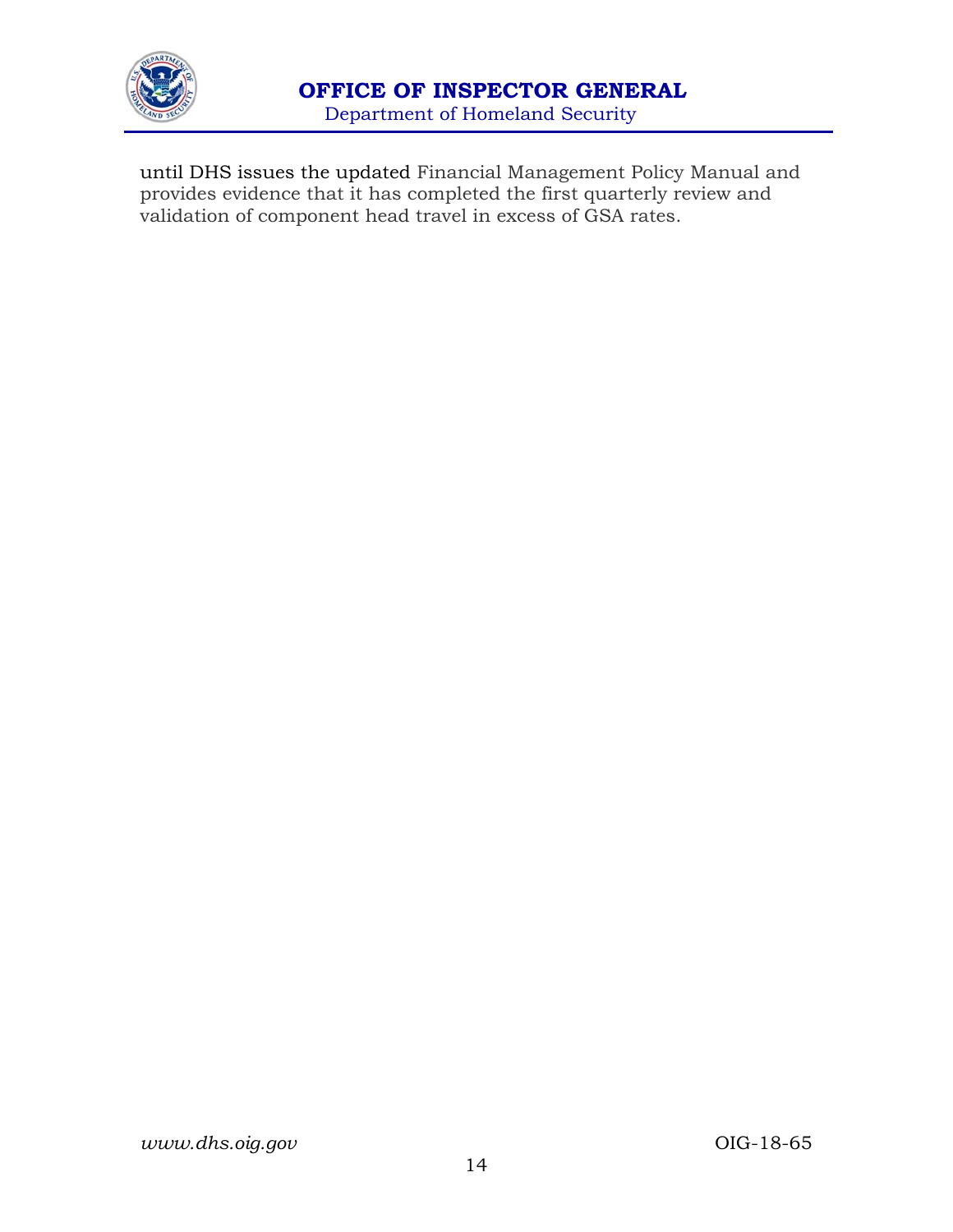

until DHS issues the updated Financial Management Policy Manual and provides evidence that it has completed the first quarterly review and validation of component head travel in excess of GSA rates.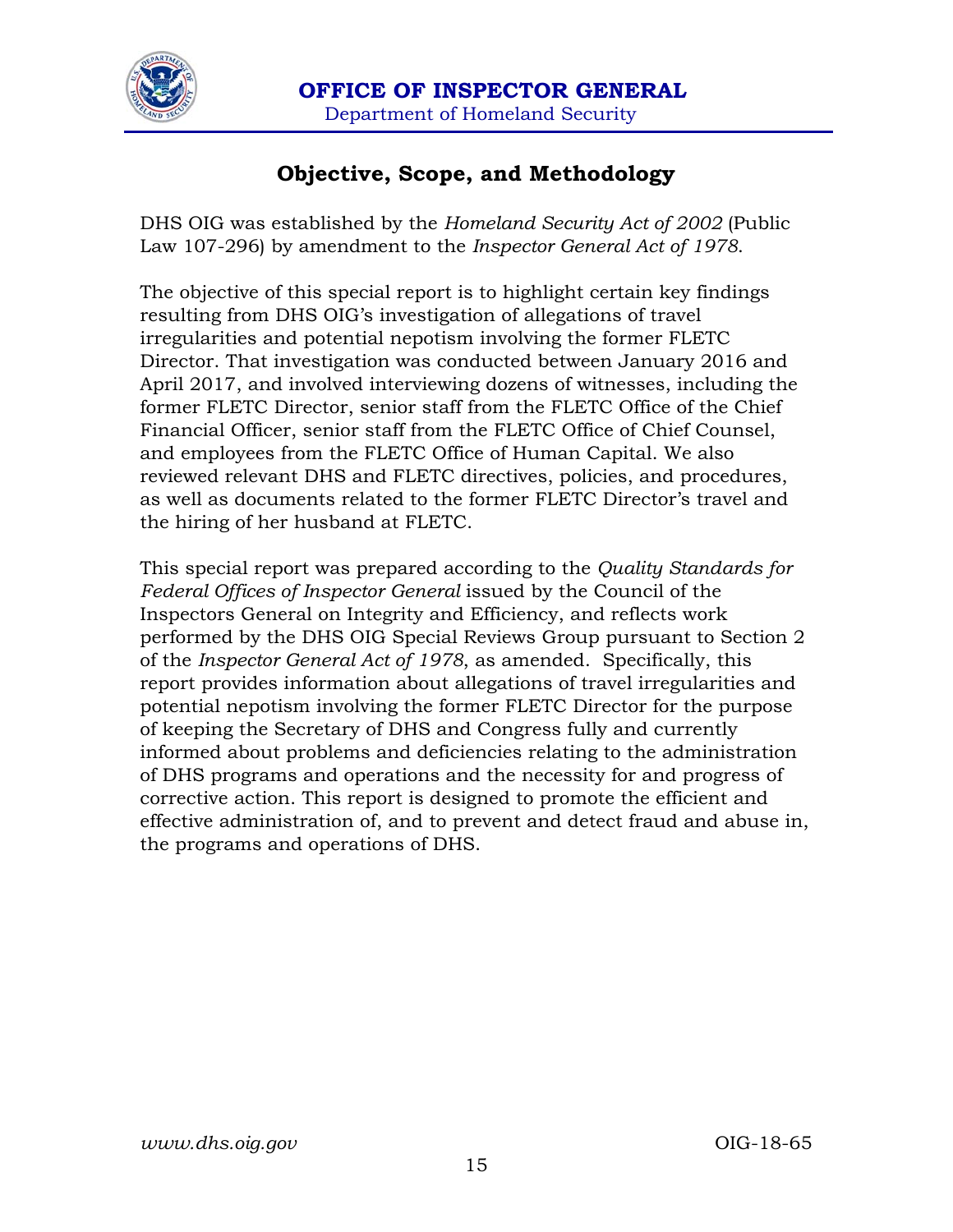

## **Objective, Scope, and Methodology**

DHS OIG was established by the *Homeland Security Act of 2002* (Public Law 107-296) by amendment to the *Inspector General Act of 1978*.

The objective of this special report is to highlight certain key findings resulting from DHS OIG's investigation of allegations of travel irregularities and potential nepotism involving the former FLETC Director. That investigation was conducted between January 2016 and April 2017, and involved interviewing dozens of witnesses, including the former FLETC Director, senior staff from the FLETC Office of the Chief Financial Officer, senior staff from the FLETC Office of Chief Counsel, and employees from the FLETC Office of Human Capital. We also reviewed relevant DHS and FLETC directives, policies, and procedures, as well as documents related to the former FLETC Director's travel and the hiring of her husband at FLETC.

This special report was prepared according to the *Quality Standards for Federal Offices of Inspector General* issued by the Council of the Inspectors General on Integrity and Efficiency, and reflects work performed by the DHS OIG Special Reviews Group pursuant to Section 2 of the *Inspector General Act of 1978*, as amended. Specifically, this report provides information about allegations of travel irregularities and potential nepotism involving the former FLETC Director for the purpose of keeping the Secretary of DHS and Congress fully and currently informed about problems and deficiencies relating to the administration of DHS programs and operations and the necessity for and progress of corrective action. This report is designed to promote the efficient and effective administration of, and to prevent and detect fraud and abuse in, the programs and operations of DHS.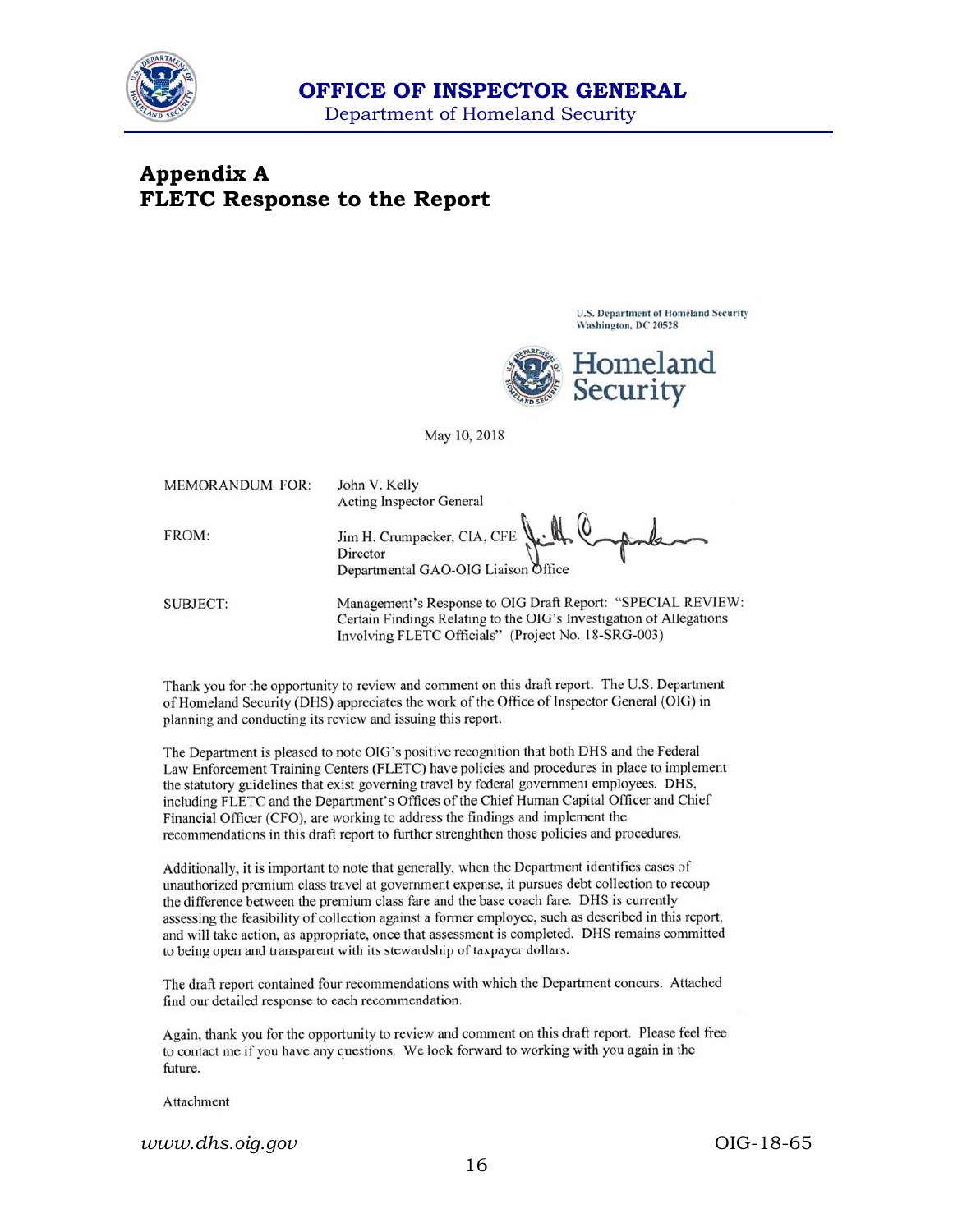

### **Appendix A FLETC Response to the Report**

**U.S. Department of Homeland Security** Washington, DC 20528



May 10, 2018

**MEMORANDUM FOR:** 

FROM:

John V. Kelly **Acting Inspector General** 

Jim H. Crumpacker, CIA, CFE Director Departmental GAO-OIG Liaison Office

**SUBJECT:** 

Management's Response to OIG Draft Report: "SPECIAL REVIEW: Certain Findings Relating to the OIG's Investigation of Allegations Involving FLETC Officials" (Project No. 18-SRG-003)

Thank you for the opportunity to review and comment on this draft report. The U.S. Department of Homeland Security (DHS) appreciates the work of the Office of Inspector General (OIG) in planning and conducting its review and issuing this report.

The Department is pleased to note OIG's positive recognition that both DHS and the Federal Law Enforcement Training Centers (FLETC) have policies and procedures in place to implement the statutory guidelines that exist governing travel by federal government employees. DHS, including FLETC and the Department's Offices of the Chief Human Capital Officer and Chief Financial Officer (CFO), are working to address the findings and implement the recommendations in this draft report to further strenghthen those policies and procedures.

Additionally, it is important to note that generally, when the Department identifies cases of unauthorized premium class travel at government expense, it pursues debt collection to recoup the difference between the premium class fare and the base coach fare. DHS is currently assessing the feasibility of collection against a former employee, such as described in this report, and will take action, as appropriate, once that assessment is completed. DHS remains committed to being open and transparent with its stewardship of taxpayer dollars.

The draft report contained four recommendations with which the Department concurs. Attached find our detailed response to each recommendation.

Again, thank you for the opportunity to review and comment on this draft report. Please feel free to contact me if you have any questions. We look forward to working with you again in the future.

Attachment

*www.dhs.oig.gov* OIG-18-65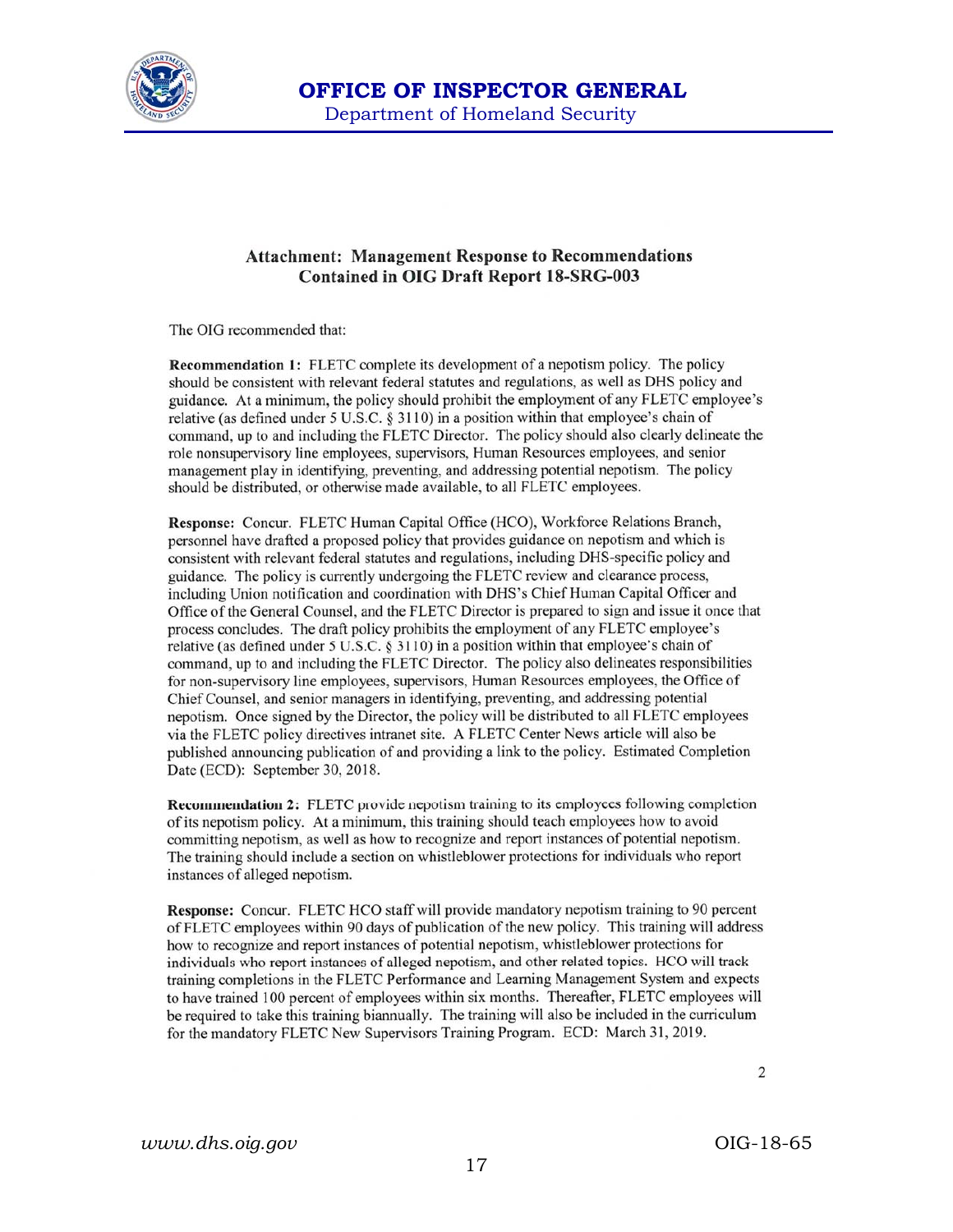

#### **Attachment: Management Response to Recommendations Contained in OIG Draft Report 18-SRG-003**

The OIG recommended that:

Recommendation 1: FLETC complete its development of a nepotism policy. The policy should be consistent with relevant federal statutes and regulations, as well as DHS policy and guidance. At a minimum, the policy should prohibit the employment of any FLETC employee's relative (as defined under 5 U.S.C. § 3110) in a position within that employee's chain of command, up to and including the FLETC Director. The policy should also clearly delineate the role nonsupervisory line employees, supervisors, Human Resources employees, and senior management play in identifying, preventing, and addressing potential nepotism. The policy should be distributed, or otherwise made available, to all FLETC employees.

Response: Concur. FLETC Human Capital Office (HCO), Workforce Relations Branch, personnel have drafted a proposed policy that provides guidance on nepotism and which is consistent with relevant federal statutes and regulations, including DHS-specific policy and guidance. The policy is currently undergoing the FLETC review and clearance process, including Union notification and coordination with DHS's Chief Human Capital Officer and Office of the General Counsel, and the FLETC Director is prepared to sign and issue it once that process concludes. The draft policy prohibits the employment of any FLETC employee's relative (as defined under 5 U.S.C. § 3110) in a position within that employee's chain of command, up to and including the FLETC Director. The policy also delineates responsibilities for non-supervisory line employees, supervisors, Human Resources employees, the Office of Chief Counsel, and senior managers in identifying, preventing, and addressing potential nepotism. Once signed by the Director, the policy will be distributed to all FLETC employees via the FLETC policy directives intranet site. A FLETC Center News article will also be published announcing publication of and providing a link to the policy. Estimated Completion Date (ECD): September 30, 2018.

**Recommendation 2:** FLETC provide nepotism training to its employees following completion of its nepotism policy. At a minimum, this training should teach employees how to avoid committing nepotism, as well as how to recognize and report instances of potential nepotism. The training should include a section on whistleblower protections for individuals who report instances of alleged nepotism.

Response: Concur. FLETC HCO staff will provide mandatory nepotism training to 90 percent of FLETC employees within 90 days of publication of the new policy. This training will address how to recognize and report instances of potential nepotism, whistleblower protections for individuals who report instances of alleged nepotism, and other related topics. HCO will track training completions in the FLETC Performance and Learning Management System and expects to have trained 100 percent of employees within six months. Thereafter, FLETC employees will be required to take this training biannually. The training will also be included in the curriculum for the mandatory FLETC New Supervisors Training Program. ECD: March 31, 2019.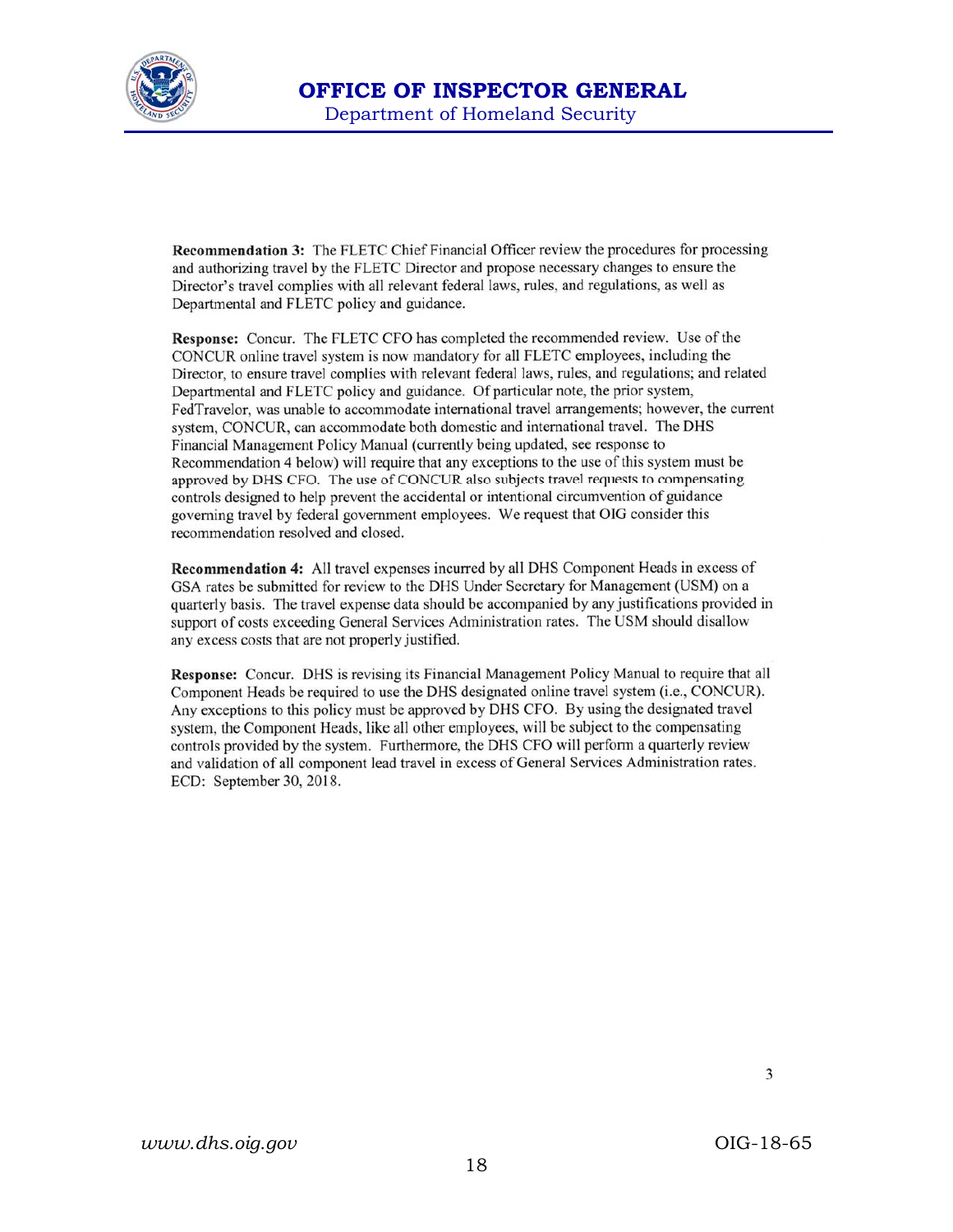

Recommendation 3: The FLETC Chief Financial Officer review the procedures for processing and authorizing travel by the FLETC Director and propose necessary changes to ensure the Director's travel complies with all relevant federal laws, rules, and regulations, as well as Departmental and FLETC policy and guidance.

Response: Concur. The FLETC CFO has completed the recommended review. Use of the CONCUR online travel system is now mandatory for all FLETC employees, including the Director, to ensure travel complies with relevant federal laws, rules, and regulations; and related Departmental and FLETC policy and guidance. Of particular note, the prior system, FedTravelor, was unable to accommodate international travel arrangements; however, the current system, CONCUR, can accommodate both domestic and international travel. The DHS Financial Management Policy Manual (currently being updated, see response to Recommendation 4 below) will require that any exceptions to the use of this system must be approved by DHS CFO. The use of CONCUR also subjects travel requests to compensating controls designed to help prevent the accidental or intentional circumvention of guidance governing travel by federal government employees. We request that OIG consider this recommendation resolved and closed.

**Recommendation 4:** All travel expenses incurred by all DHS Component Heads in excess of GSA rates be submitted for review to the DHS Under Secretary for Management (USM) on a quarterly basis. The travel expense data should be accompanied by any justifications provided in support of costs exceeding General Services Administration rates. The USM should disallow any excess costs that are not properly justified.

Response: Concur. DHS is revising its Financial Management Policy Manual to require that all Component Heads be required to use the DHS designated online travel system (i.e., CONCUR). Any exceptions to this policy must be approved by DHS CFO. By using the designated travel system, the Component Heads, like all other employees, will be subject to the compensating controls provided by the system. Furthermore, the DHS CFO will perform a quarterly review and validation of all component lead travel in excess of General Services Administration rates. ECD: September 30, 2018.